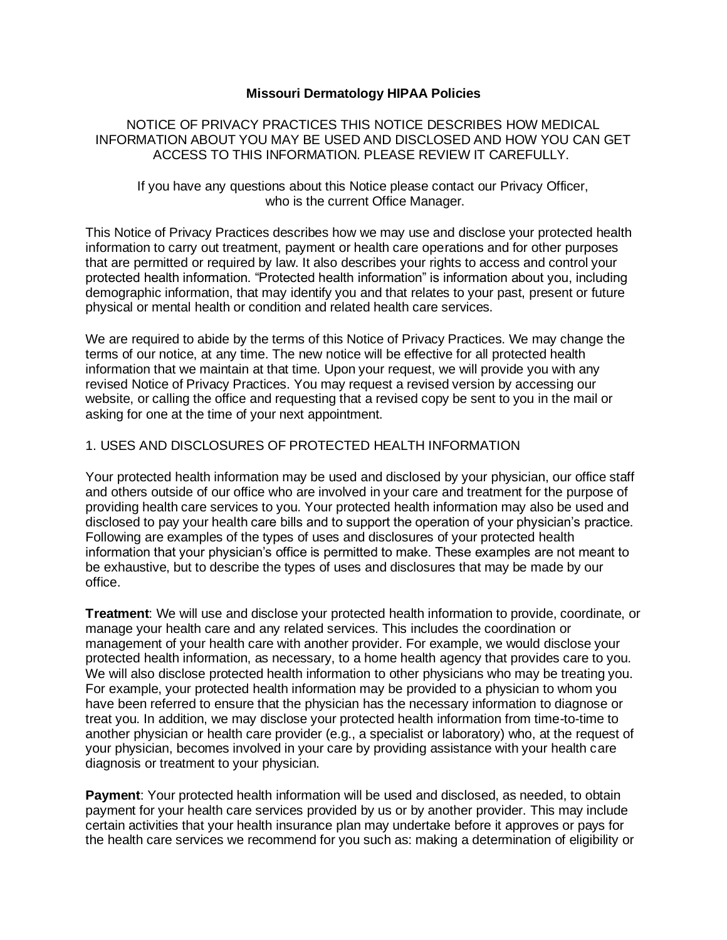#### **Missouri Dermatology HIPAA Policies**

NOTICE OF PRIVACY PRACTICES THIS NOTICE DESCRIBES HOW MEDICAL INFORMATION ABOUT YOU MAY BE USED AND DISCLOSED AND HOW YOU CAN GET ACCESS TO THIS INFORMATION. PLEASE REVIEW IT CAREFULLY.

If you have any questions about this Notice please contact our Privacy Officer, who is the current Office Manager.

This Notice of Privacy Practices describes how we may use and disclose your protected health information to carry out treatment, payment or health care operations and for other purposes that are permitted or required by law. It also describes your rights to access and control your protected health information. "Protected health information" is information about you, including demographic information, that may identify you and that relates to your past, present or future physical or mental health or condition and related health care services.

We are required to abide by the terms of this Notice of Privacy Practices. We may change the terms of our notice, at any time. The new notice will be effective for all protected health information that we maintain at that time. Upon your request, we will provide you with any revised Notice of Privacy Practices. You may request a revised version by accessing our website, or calling the office and requesting that a revised copy be sent to you in the mail or asking for one at the time of your next appointment.

# 1. USES AND DISCLOSURES OF PROTECTED HEALTH INFORMATION

Your protected health information may be used and disclosed by your physician, our office staff and others outside of our office who are involved in your care and treatment for the purpose of providing health care services to you. Your protected health information may also be used and disclosed to pay your health care bills and to support the operation of your physician's practice. Following are examples of the types of uses and disclosures of your protected health information that your physician's office is permitted to make. These examples are not meant to be exhaustive, but to describe the types of uses and disclosures that may be made by our office.

**Treatment**: We will use and disclose your protected health information to provide, coordinate, or manage your health care and any related services. This includes the coordination or management of your health care with another provider. For example, we would disclose your protected health information, as necessary, to a home health agency that provides care to you. We will also disclose protected health information to other physicians who may be treating you. For example, your protected health information may be provided to a physician to whom you have been referred to ensure that the physician has the necessary information to diagnose or treat you. In addition, we may disclose your protected health information from time-to-time to another physician or health care provider (e.g., a specialist or laboratory) who, at the request of your physician, becomes involved in your care by providing assistance with your health care diagnosis or treatment to your physician.

**Payment**: Your protected health information will be used and disclosed, as needed, to obtain payment for your health care services provided by us or by another provider. This may include certain activities that your health insurance plan may undertake before it approves or pays for the health care services we recommend for you such as: making a determination of eligibility or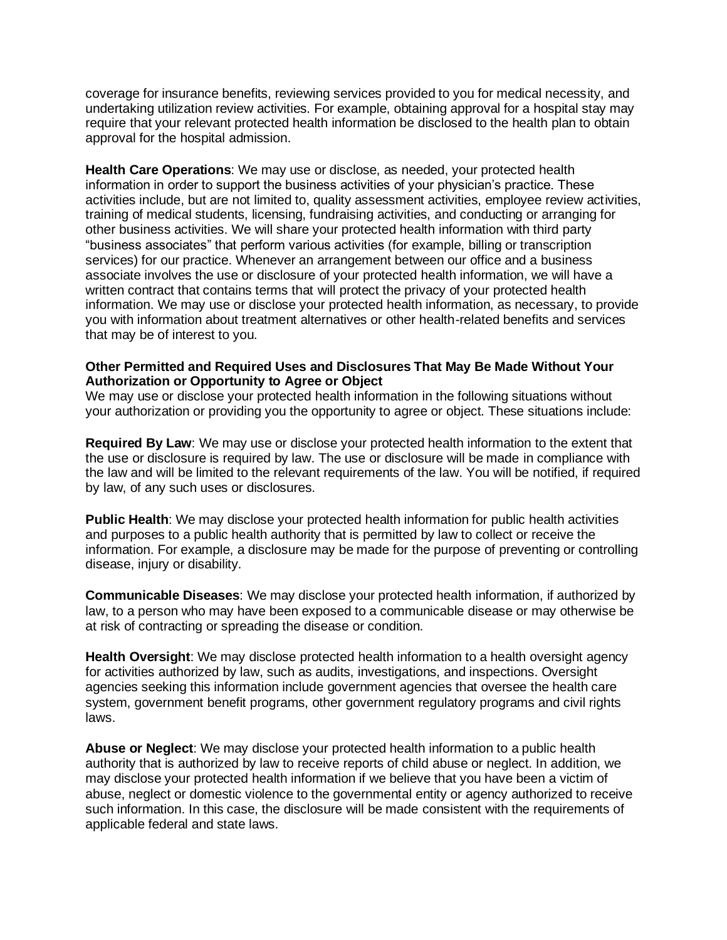coverage for insurance benefits, reviewing services provided to you for medical necessity, and undertaking utilization review activities. For example, obtaining approval for a hospital stay may require that your relevant protected health information be disclosed to the health plan to obtain approval for the hospital admission.

**Health Care Operations**: We may use or disclose, as needed, your protected health information in order to support the business activities of your physician's practice. These activities include, but are not limited to, quality assessment activities, employee review activities, training of medical students, licensing, fundraising activities, and conducting or arranging for other business activities. We will share your protected health information with third party "business associates" that perform various activities (for example, billing or transcription services) for our practice. Whenever an arrangement between our office and a business associate involves the use or disclosure of your protected health information, we will have a written contract that contains terms that will protect the privacy of your protected health information. We may use or disclose your protected health information, as necessary, to provide you with information about treatment alternatives or other health-related benefits and services that may be of interest to you.

## **Other Permitted and Required Uses and Disclosures That May Be Made Without Your Authorization or Opportunity to Agree or Object**

We may use or disclose your protected health information in the following situations without your authorization or providing you the opportunity to agree or object. These situations include:

**Required By Law**: We may use or disclose your protected health information to the extent that the use or disclosure is required by law. The use or disclosure will be made in compliance with the law and will be limited to the relevant requirements of the law. You will be notified, if required by law, of any such uses or disclosures.

**Public Health**: We may disclose your protected health information for public health activities and purposes to a public health authority that is permitted by law to collect or receive the information. For example, a disclosure may be made for the purpose of preventing or controlling disease, injury or disability.

**Communicable Diseases**: We may disclose your protected health information, if authorized by law, to a person who may have been exposed to a communicable disease or may otherwise be at risk of contracting or spreading the disease or condition.

**Health Oversight**: We may disclose protected health information to a health oversight agency for activities authorized by law, such as audits, investigations, and inspections. Oversight agencies seeking this information include government agencies that oversee the health care system, government benefit programs, other government regulatory programs and civil rights laws.

**Abuse or Neglect**: We may disclose your protected health information to a public health authority that is authorized by law to receive reports of child abuse or neglect. In addition, we may disclose your protected health information if we believe that you have been a victim of abuse, neglect or domestic violence to the governmental entity or agency authorized to receive such information. In this case, the disclosure will be made consistent with the requirements of applicable federal and state laws.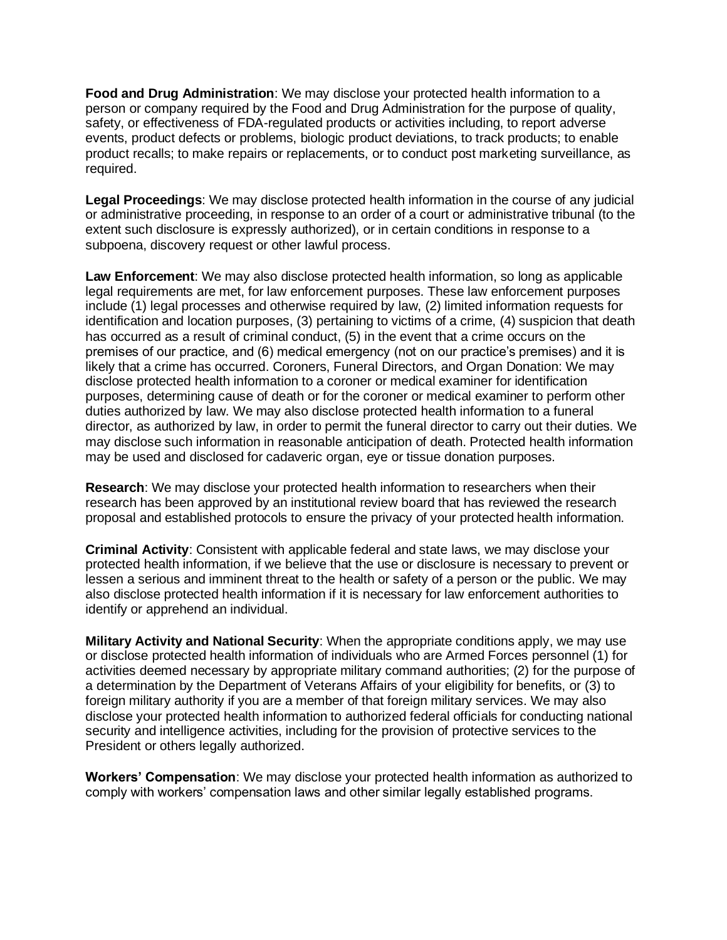**Food and Drug Administration**: We may disclose your protected health information to a person or company required by the Food and Drug Administration for the purpose of quality, safety, or effectiveness of FDA-regulated products or activities including, to report adverse events, product defects or problems, biologic product deviations, to track products; to enable product recalls; to make repairs or replacements, or to conduct post marketing surveillance, as required.

**Legal Proceedings**: We may disclose protected health information in the course of any judicial or administrative proceeding, in response to an order of a court or administrative tribunal (to the extent such disclosure is expressly authorized), or in certain conditions in response to a subpoena, discovery request or other lawful process.

**Law Enforcement**: We may also disclose protected health information, so long as applicable legal requirements are met, for law enforcement purposes. These law enforcement purposes include (1) legal processes and otherwise required by law, (2) limited information requests for identification and location purposes, (3) pertaining to victims of a crime, (4) suspicion that death has occurred as a result of criminal conduct, (5) in the event that a crime occurs on the premises of our practice, and (6) medical emergency (not on our practice's premises) and it is likely that a crime has occurred. Coroners, Funeral Directors, and Organ Donation: We may disclose protected health information to a coroner or medical examiner for identification purposes, determining cause of death or for the coroner or medical examiner to perform other duties authorized by law. We may also disclose protected health information to a funeral director, as authorized by law, in order to permit the funeral director to carry out their duties. We may disclose such information in reasonable anticipation of death. Protected health information may be used and disclosed for cadaveric organ, eye or tissue donation purposes.

**Research**: We may disclose your protected health information to researchers when their research has been approved by an institutional review board that has reviewed the research proposal and established protocols to ensure the privacy of your protected health information.

**Criminal Activity**: Consistent with applicable federal and state laws, we may disclose your protected health information, if we believe that the use or disclosure is necessary to prevent or lessen a serious and imminent threat to the health or safety of a person or the public. We may also disclose protected health information if it is necessary for law enforcement authorities to identify or apprehend an individual.

**Military Activity and National Security**: When the appropriate conditions apply, we may use or disclose protected health information of individuals who are Armed Forces personnel (1) for activities deemed necessary by appropriate military command authorities; (2) for the purpose of a determination by the Department of Veterans Affairs of your eligibility for benefits, or (3) to foreign military authority if you are a member of that foreign military services. We may also disclose your protected health information to authorized federal officials for conducting national security and intelligence activities, including for the provision of protective services to the President or others legally authorized.

**Workers' Compensation**: We may disclose your protected health information as authorized to comply with workers' compensation laws and other similar legally established programs.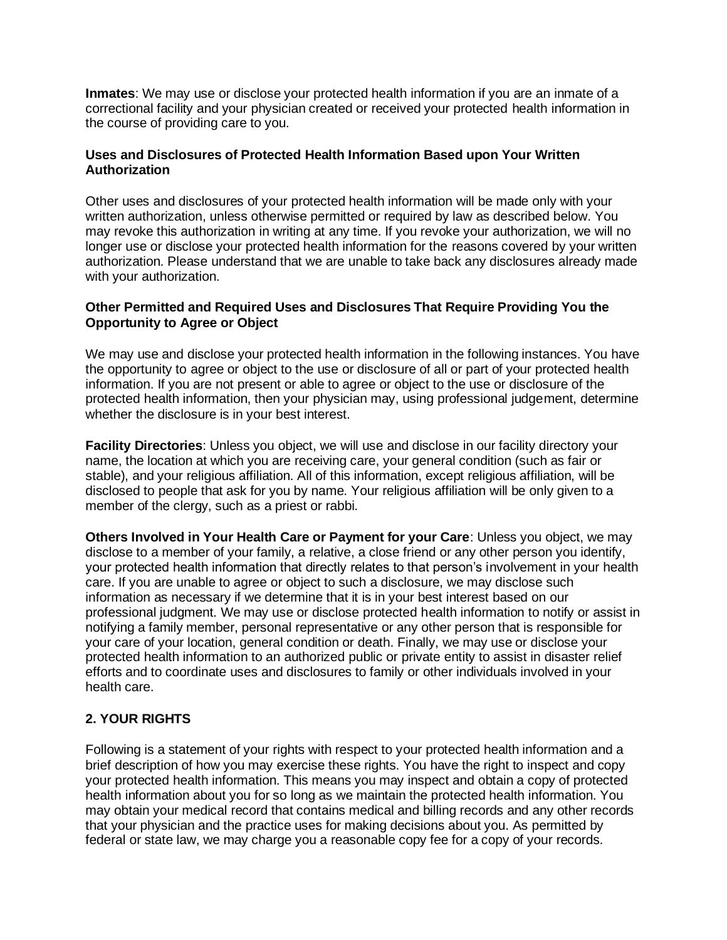**Inmates**: We may use or disclose your protected health information if you are an inmate of a correctional facility and your physician created or received your protected health information in the course of providing care to you.

## **Uses and Disclosures of Protected Health Information Based upon Your Written Authorization**

Other uses and disclosures of your protected health information will be made only with your written authorization, unless otherwise permitted or required by law as described below. You may revoke this authorization in writing at any time. If you revoke your authorization, we will no longer use or disclose your protected health information for the reasons covered by your written authorization. Please understand that we are unable to take back any disclosures already made with your authorization.

# **Other Permitted and Required Uses and Disclosures That Require Providing You the Opportunity to Agree or Object**

We may use and disclose your protected health information in the following instances. You have the opportunity to agree or object to the use or disclosure of all or part of your protected health information. If you are not present or able to agree or object to the use or disclosure of the protected health information, then your physician may, using professional judgement, determine whether the disclosure is in your best interest.

**Facility Directories**: Unless you object, we will use and disclose in our facility directory your name, the location at which you are receiving care, your general condition (such as fair or stable), and your religious affiliation. All of this information, except religious affiliation, will be disclosed to people that ask for you by name. Your religious affiliation will be only given to a member of the clergy, such as a priest or rabbi.

**Others Involved in Your Health Care or Payment for your Care**: Unless you object, we may disclose to a member of your family, a relative, a close friend or any other person you identify, your protected health information that directly relates to that person's involvement in your health care. If you are unable to agree or object to such a disclosure, we may disclose such information as necessary if we determine that it is in your best interest based on our professional judgment. We may use or disclose protected health information to notify or assist in notifying a family member, personal representative or any other person that is responsible for your care of your location, general condition or death. Finally, we may use or disclose your protected health information to an authorized public or private entity to assist in disaster relief efforts and to coordinate uses and disclosures to family or other individuals involved in your health care.

# **2. YOUR RIGHTS**

Following is a statement of your rights with respect to your protected health information and a brief description of how you may exercise these rights. You have the right to inspect and copy your protected health information. This means you may inspect and obtain a copy of protected health information about you for so long as we maintain the protected health information. You may obtain your medical record that contains medical and billing records and any other records that your physician and the practice uses for making decisions about you. As permitted by federal or state law, we may charge you a reasonable copy fee for a copy of your records.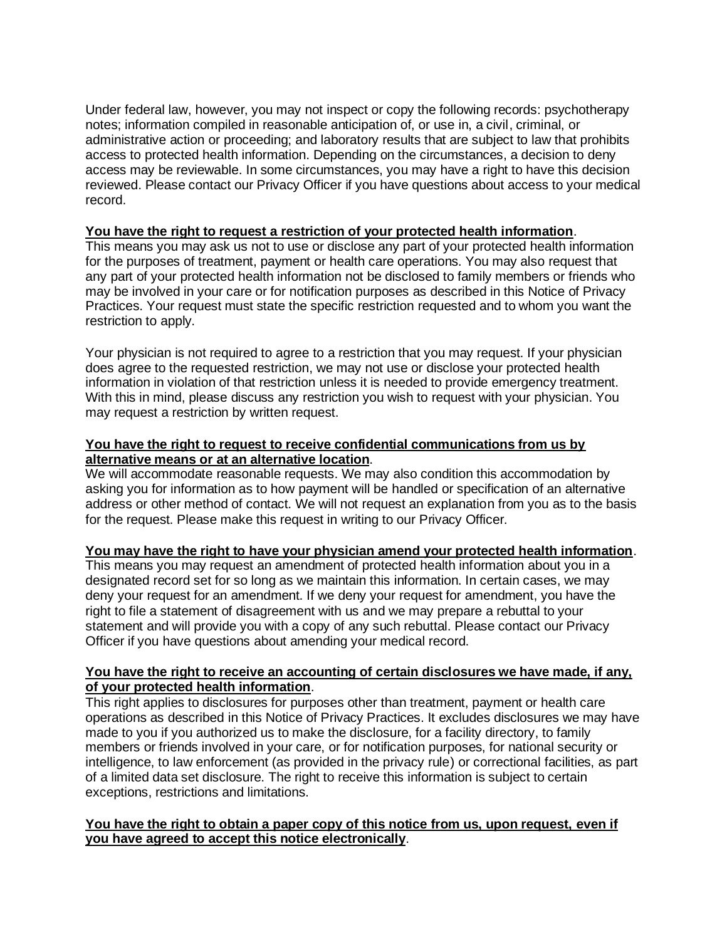Under federal law, however, you may not inspect or copy the following records: psychotherapy notes; information compiled in reasonable anticipation of, or use in, a civil, criminal, or administrative action or proceeding; and laboratory results that are subject to law that prohibits access to protected health information. Depending on the circumstances, a decision to deny access may be reviewable. In some circumstances, you may have a right to have this decision reviewed. Please contact our Privacy Officer if you have questions about access to your medical record.

# **You have the right to request a restriction of your protected health information**.

This means you may ask us not to use or disclose any part of your protected health information for the purposes of treatment, payment or health care operations. You may also request that any part of your protected health information not be disclosed to family members or friends who may be involved in your care or for notification purposes as described in this Notice of Privacy Practices. Your request must state the specific restriction requested and to whom you want the restriction to apply.

Your physician is not required to agree to a restriction that you may request. If your physician does agree to the requested restriction, we may not use or disclose your protected health information in violation of that restriction unless it is needed to provide emergency treatment. With this in mind, please discuss any restriction you wish to request with your physician. You may request a restriction by written request.

# **You have the right to request to receive confidential communications from us by alternative means or at an alternative location**.

We will accommodate reasonable requests. We may also condition this accommodation by asking you for information as to how payment will be handled or specification of an alternative address or other method of contact. We will not request an explanation from you as to the basis for the request. Please make this request in writing to our Privacy Officer.

# **You may have the right to have your physician amend your protected health information**.

This means you may request an amendment of protected health information about you in a designated record set for so long as we maintain this information. In certain cases, we may deny your request for an amendment. If we deny your request for amendment, you have the right to file a statement of disagreement with us and we may prepare a rebuttal to your statement and will provide you with a copy of any such rebuttal. Please contact our Privacy Officer if you have questions about amending your medical record.

#### **You have the right to receive an accounting of certain disclosures we have made, if any, of your protected health information**.

This right applies to disclosures for purposes other than treatment, payment or health care operations as described in this Notice of Privacy Practices. It excludes disclosures we may have made to you if you authorized us to make the disclosure, for a facility directory, to family members or friends involved in your care, or for notification purposes, for national security or intelligence, to law enforcement (as provided in the privacy rule) or correctional facilities, as part of a limited data set disclosure. The right to receive this information is subject to certain exceptions, restrictions and limitations.

#### **You have the right to obtain a paper copy of this notice from us, upon request, even if you have agreed to accept this notice electronically**.